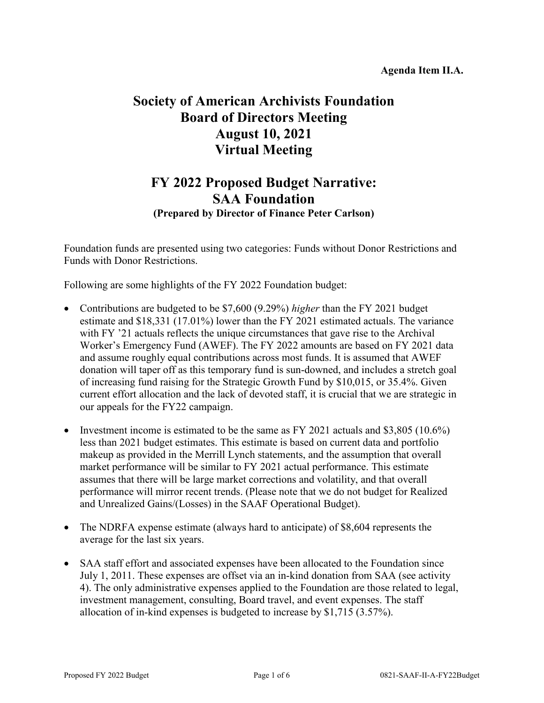# **Society of American Archivists Foundation Board of Directors Meeting August 10, 2021 Virtual Meeting**

## **FY 2022 Proposed Budget Narrative: SAA Foundation (Prepared by Director of Finance Peter Carlson)**

Foundation funds are presented using two categories: Funds without Donor Restrictions and Funds with Donor Restrictions.

Following are some highlights of the FY 2022 Foundation budget:

- Contributions are budgeted to be \$7,600 (9.29%) *higher* than the FY 2021 budget estimate and \$18,331 (17.01%) lower than the FY 2021 estimated actuals. The variance with FY '21 actuals reflects the unique circumstances that gave rise to the Archival Worker's Emergency Fund (AWEF). The FY 2022 amounts are based on FY 2021 data and assume roughly equal contributions across most funds. It is assumed that AWEF donation will taper off as this temporary fund is sun-downed, and includes a stretch goal of increasing fund raising for the Strategic Growth Fund by \$10,015, or 35.4%. Given current effort allocation and the lack of devoted staff, it is crucial that we are strategic in our appeals for the FY22 campaign.
- Investment income is estimated to be the same as FY 2021 actuals and \$3,805 (10.6%) less than 2021 budget estimates. This estimate is based on current data and portfolio makeup as provided in the Merrill Lynch statements, and the assumption that overall market performance will be similar to FY 2021 actual performance. This estimate assumes that there will be large market corrections and volatility, and that overall performance will mirror recent trends. (Please note that we do not budget for Realized and Unrealized Gains/(Losses) in the SAAF Operational Budget).
- The NDRFA expense estimate (always hard to anticipate) of \$8,604 represents the average for the last six years.
- SAA staff effort and associated expenses have been allocated to the Foundation since July 1, 2011. These expenses are offset via an in-kind donation from SAA (see activity 4). The only administrative expenses applied to the Foundation are those related to legal, investment management, consulting, Board travel, and event expenses. The staff allocation of in-kind expenses is budgeted to increase by \$1,715 (3.57%).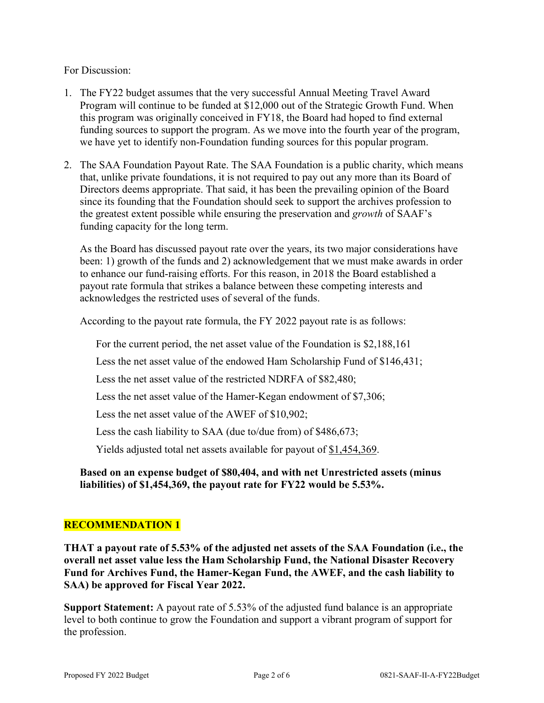### For Discussion:

- 1. The FY22 budget assumes that the very successful Annual Meeting Travel Award Program will continue to be funded at \$12,000 out of the Strategic Growth Fund. When this program was originally conceived in FY18, the Board had hoped to find external funding sources to support the program. As we move into the fourth year of the program, we have yet to identify non-Foundation funding sources for this popular program.
- 2. The SAA Foundation Payout Rate. The SAA Foundation is a public charity, which means that, unlike private foundations, it is not required to pay out any more than its Board of Directors deems appropriate. That said, it has been the prevailing opinion of the Board since its founding that the Foundation should seek to support the archives profession to the greatest extent possible while ensuring the preservation and *growth* of SAAF's funding capacity for the long term.

As the Board has discussed payout rate over the years, its two major considerations have been: 1) growth of the funds and 2) acknowledgement that we must make awards in order to enhance our fund-raising efforts. For this reason, in 2018 the Board established a payout rate formula that strikes a balance between these competing interests and acknowledges the restricted uses of several of the funds.

According to the payout rate formula, the FY 2022 payout rate is as follows:

For the current period, the net asset value of the Foundation is \$2,188,161

Less the net asset value of the endowed Ham Scholarship Fund of \$146,431;

Less the net asset value of the restricted NDRFA of \$82,480;

Less the net asset value of the Hamer-Kegan endowment of \$7,306;

Less the net asset value of the AWEF of \$10,902;

Less the cash liability to SAA (due to/due from) of \$486,673;

Yields adjusted total net assets available for payout of \$1,454,369.

**Based on an expense budget of \$80,404, and with net Unrestricted assets (minus liabilities) of \$1,454,369, the payout rate for FY22 would be 5.53%.** 

### **RECOMMENDATION 1**

**THAT a payout rate of 5.53% of the adjusted net assets of the SAA Foundation (i.e., the overall net asset value less the Ham Scholarship Fund, the National Disaster Recovery Fund for Archives Fund, the Hamer-Kegan Fund, the AWEF, and the cash liability to SAA) be approved for Fiscal Year 2022.** 

**Support Statement:** A payout rate of 5.53% of the adjusted fund balance is an appropriate level to both continue to grow the Foundation and support a vibrant program of support for the profession.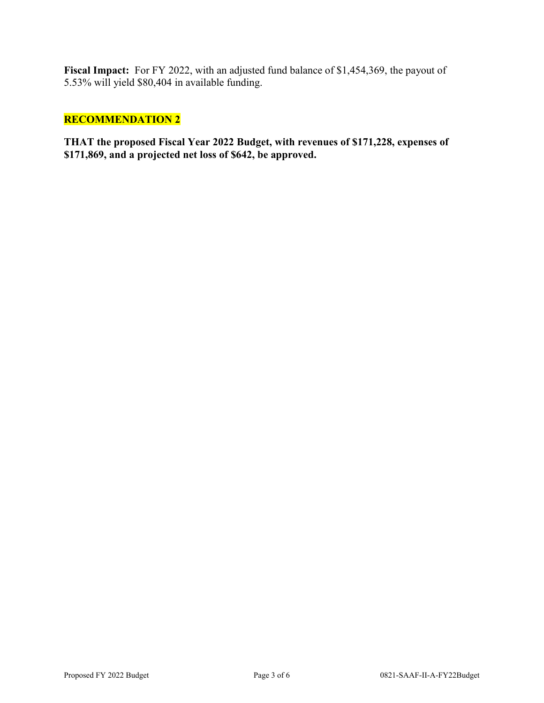**Fiscal Impact:** For FY 2022, with an adjusted fund balance of \$1,454,369, the payout of 5.53% will yield \$80,404 in available funding.

### **RECOMMENDATION 2**

**THAT the proposed Fiscal Year 2022 Budget, with revenues of \$171,228, expenses of \$171,869, and a projected net loss of \$642, be approved.**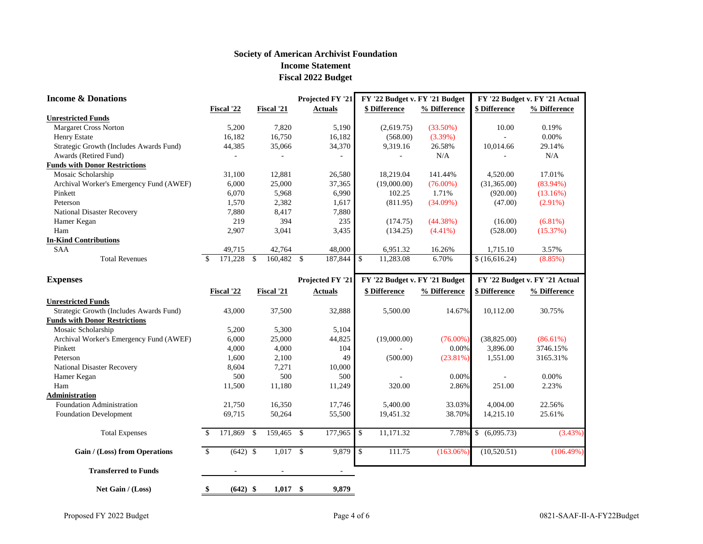### **Society of American Archivist Foundation Income Statement Fiscal 2022 Budget**

| <b>Income &amp; Donations</b>           |               |                                                      |               |            |                    | Projected FY '21         |                                | FY '22 Budget v. FY '21 Budget |                                |                      | FY '22 Budget v. FY '21 Actual |
|-----------------------------------------|---------------|------------------------------------------------------|---------------|------------|--------------------|--------------------------|--------------------------------|--------------------------------|--------------------------------|----------------------|--------------------------------|
|                                         | Fiscal '22    |                                                      |               | Fiscal '21 |                    | <b>Actuals</b>           |                                | <b>\$ Difference</b>           | % Difference                   | \$ Difference        | % Difference                   |
| <b>Unrestricted Funds</b>               |               |                                                      |               |            |                    |                          |                                |                                |                                |                      |                                |
| <b>Margaret Cross Norton</b>            |               | 5,200                                                |               | 7,820      |                    | 5,190                    |                                | (2,619.75)                     | (33.50%)                       | 10.00                | 0.19%                          |
| <b>Henry Estate</b>                     |               | 16,182<br>16,750<br>16,182<br>(568.00)<br>$(3.39\%)$ |               |            |                    | 0.00%                    |                                |                                |                                |                      |                                |
| Strategic Growth (Includes Awards Fund) |               | 44,385                                               |               | 35,066     |                    | 34,370                   |                                | 9,319.16                       | 26.58%                         | 10,014.66            | 29.14%                         |
| Awards (Retired Fund)                   |               |                                                      |               |            |                    | $\overline{\phantom{a}}$ |                                |                                | $\rm N/A$                      |                      | N/A                            |
| <b>Funds with Donor Restrictions</b>    |               |                                                      |               |            |                    |                          |                                |                                |                                |                      |                                |
| Mosaic Scholarship                      |               | 31,100                                               |               | 12,881     |                    | 26,580                   |                                | 18,219.04                      | 141.44%                        | 4,520.00             | 17.01%                         |
| Archival Worker's Emergency Fund (AWEF) |               | 6,000                                                |               | 25,000     |                    | 37,365                   |                                | (19,000.00)                    | $(76.00\%)$                    | (31,365.00)          | $(83.94\%)$                    |
| Pinkett                                 |               | 6,070                                                |               | 5,968      |                    | 6,990                    |                                | 102.25                         | 1.71%                          | (920.00)             | (13.16%)                       |
| Peterson                                |               | 1,570                                                |               | 2,382      |                    | 1,617                    |                                | (811.95)                       | $(34.09\%)$                    | (47.00)              | $(2.91\%)$                     |
| National Disaster Recovery              |               | 7,880                                                |               | 8,417      |                    | 7,880                    |                                |                                |                                |                      |                                |
| Hamer Kegan                             |               | 219                                                  |               | 394        |                    | 235                      |                                | (174.75)                       | (44.38%)                       | (16.00)              | $(6.81\%)$                     |
| Ham                                     |               | 2,907                                                |               | 3,041      |                    | 3,435                    |                                | (134.25)<br>$(4.41\%)$         |                                | (528.00)             | (15.37%)                       |
| <b>In-Kind Contributions</b>            |               |                                                      |               |            |                    |                          |                                |                                |                                |                      |                                |
| <b>SAA</b>                              |               | 49,715                                               |               | 42,764     |                    | 48,000                   |                                | 6,951.32                       | 16.26%                         | 1,715.10             | 3.57%                          |
| <b>Total Revenues</b>                   | $\mathcal{S}$ | 171,228                                              | $\mathcal{S}$ | 160,482    | $\mathbf{\hat{S}}$ | 187,844                  | $\mathcal{S}$                  | 11,283.08                      | 6.70%                          | \$(16,616.24)        | $(8.85\%)$                     |
| <b>Expenses</b>                         |               |                                                      |               |            |                    | <b>Projected FY '21</b>  | FY '22 Budget v. FY '21 Budget |                                | FY '22 Budget v. FY '21 Actual |                      |                                |
|                                         | Fiscal '22    |                                                      |               | Fiscal '21 |                    | <b>Actuals</b>           |                                | <b>\$ Difference</b>           | % Difference                   | <b>\$ Difference</b> | % Difference                   |
| <b>Unrestricted Funds</b>               |               |                                                      |               |            |                    |                          |                                |                                |                                |                      |                                |
| Strategic Growth (Includes Awards Fund) |               | 43,000                                               |               | 37,500     |                    | 32,888                   |                                | 5,500.00                       | 14.67%                         | 10,112.00            | 30.75%                         |
| <b>Funds with Donor Restrictions</b>    |               |                                                      |               |            |                    |                          |                                |                                |                                |                      |                                |
| Mosaic Scholarship                      |               | 5,200                                                |               | 5,300      |                    | 5,104                    |                                |                                |                                |                      |                                |
| Archival Worker's Emergency Fund (AWEF) |               | 6,000                                                |               | 25,000     |                    | 44,825                   |                                | (19,000.00)                    | $(76.00\%)$                    | (38, 825.00)         | $(86.61\%)$                    |
| Pinkett                                 |               | 4,000                                                |               | 4,000      |                    | 104                      |                                |                                | 0.00%                          | 3,896.00             | 3746.15%                       |
| Peterson                                |               | 1,600                                                |               | 2,100      |                    | 49                       |                                | (500.00)<br>$(23.81\%)$        |                                | 1,551.00             | 3165.31%                       |
| National Disaster Recovery              |               | 8,604                                                |               | 7,271      |                    | 10,000                   |                                |                                |                                |                      |                                |
| Hamer Kegan                             |               | 500                                                  |               | 500        |                    | 500                      |                                |                                | 0.00%                          |                      | 0.00%                          |
| Ham                                     |               | 11,500                                               |               | 11,180     |                    | 11,249                   |                                | 320.00                         | 2.86%                          | 251.00               | 2.23%                          |
| Administration                          |               |                                                      |               |            |                    |                          |                                |                                |                                |                      |                                |
| Foundation Administration               |               | 21,750                                               |               | 16,350     |                    | 17,746                   |                                | 5,400.00                       | 33.03%                         | 4,004.00             | 22.56%                         |
| <b>Foundation Development</b>           |               | 69,715                                               |               | 50,264     |                    | 55,500                   |                                | 19,451.32                      | 38.70%                         | 14,215.10            | 25.61%                         |
| <b>Total Expenses</b>                   |               | 171,869                                              | \$            | 159,465    | $\mathbb{S}$       | 177,965                  | $\mathcal{S}$                  | 11,171.32                      | 7.78%                          | (6,095.73)<br>\$     | (3.43%)                        |
| Gain / (Loss) from Operations           | $\mathbb{S}$  | $(642)$ \$                                           |               | $1,017$ \$ |                    | 9,879                    | \$                             | 111.75                         | $(163.06\%)$                   | (10,520.51)          | (106.49%)                      |
| <b>Transferred to Funds</b>             |               |                                                      |               |            |                    | $\blacksquare$           |                                |                                |                                |                      |                                |
| Net Gain / (Loss)                       | \$            | $(642)$ \$                                           |               | 1,017      | \$                 | 9,879                    |                                |                                |                                |                      |                                |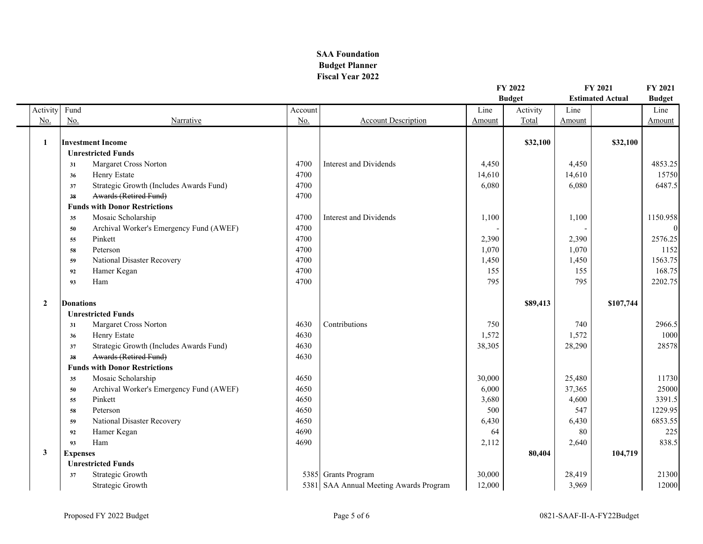### **SAA Foundation Budget Planner Fiscal Year 2022**

|                |                             |                                         |         |                                        | FY 2022<br><b>Budget</b> | FY 2021<br><b>Estimated Actual</b> |        | FY 2021<br><b>Budget</b> |          |
|----------------|-----------------------------|-----------------------------------------|---------|----------------------------------------|--------------------------|------------------------------------|--------|--------------------------|----------|
| Activity       | Fund                        |                                         | Account |                                        | Line                     | Activity                           | Line   |                          | Line     |
| No.            | $\underline{\mathrm{No}}$ . | Narrative                               | No.     | <b>Account Description</b>             | Amount                   | Total                              | Amount |                          | Amount   |
| 1              |                             | <b>Investment Income</b>                |         |                                        |                          | \$32,100                           |        | \$32,100                 |          |
|                |                             | <b>Unrestricted Funds</b>               |         |                                        |                          |                                    |        |                          |          |
|                | 31                          | Margaret Cross Norton                   | 4700    | Interest and Dividends                 | 4,450                    |                                    | 4,450  |                          | 4853.25  |
|                | 36                          | Henry Estate                            | 4700    |                                        | 14,610                   |                                    | 14,610 |                          | 15750    |
|                | 37                          | Strategic Growth (Includes Awards Fund) | 4700    |                                        | 6,080                    |                                    | 6,080  |                          | 6487.5   |
|                | 38                          | Awards (Retired Fund)                   | 4700    |                                        |                          |                                    |        |                          |          |
|                |                             | <b>Funds with Donor Restrictions</b>    |         |                                        |                          |                                    |        |                          |          |
|                | 35                          | Mosaic Scholarship                      | 4700    | <b>Interest and Dividends</b>          | 1,100                    |                                    | 1,100  |                          | 1150.958 |
|                | 50                          | Archival Worker's Emergency Fund (AWEF) | 4700    |                                        |                          |                                    |        |                          | $\theta$ |
|                | 55                          | Pinkett                                 | 4700    |                                        | 2,390                    |                                    | 2,390  |                          | 2576.25  |
|                | 58                          | Peterson                                | 4700    |                                        | 1,070                    |                                    | 1,070  |                          | 1152     |
|                | 59                          | National Disaster Recovery              | 4700    |                                        | 1,450                    |                                    | 1,450  |                          | 1563.75  |
|                | 92                          | Hamer Kegan                             | 4700    |                                        | 155                      |                                    | 155    |                          | 168.75   |
|                | 93                          | Ham                                     | 4700    |                                        | 795                      |                                    | 795    |                          | 2202.75  |
| $\overline{2}$ | <b>Donations</b>            |                                         |         |                                        |                          | \$89,413                           |        | \$107,744                |          |
|                |                             | <b>Unrestricted Funds</b>               |         |                                        |                          |                                    |        |                          |          |
|                | 31                          | Margaret Cross Norton                   | 4630    | Contributions                          | 750                      |                                    | 740    |                          | 2966.5   |
|                | 36                          | Henry Estate                            | 4630    |                                        | 1,572                    |                                    | 1,572  |                          | 1000     |
|                | 37                          | Strategic Growth (Includes Awards Fund) | 4630    |                                        | 38,305                   |                                    | 28,290 |                          | 28578    |
|                | 38                          | Awards (Retired Fund)                   | 4630    |                                        |                          |                                    |        |                          |          |
|                |                             | <b>Funds with Donor Restrictions</b>    |         |                                        |                          |                                    |        |                          |          |
|                | 35                          | Mosaic Scholarship                      | 4650    |                                        | 30,000                   |                                    | 25,480 |                          | 11730    |
|                | 50                          | Archival Worker's Emergency Fund (AWEF) | 4650    |                                        | 6,000                    |                                    | 37,365 |                          | 25000    |
|                | 55                          | Pinkett                                 | 4650    |                                        | 3,680                    |                                    | 4,600  |                          | 3391.5   |
|                | 58                          | Peterson                                | 4650    |                                        | 500                      |                                    | 547    |                          | 1229.95  |
|                | 59                          | National Disaster Recovery              | 4650    |                                        | 6,430                    |                                    | 6,430  |                          | 6853.55  |
|                | 92                          | Hamer Kegan                             | 4690    |                                        | 64                       |                                    | 80     |                          | 225      |
|                | 93                          | Ham                                     | 4690    |                                        | 2,112                    |                                    | 2,640  |                          | 838.5    |
| 3              | <b>Expenses</b>             |                                         |         |                                        |                          | 80,404                             |        | 104,719                  |          |
|                |                             | <b>Unrestricted Funds</b>               |         |                                        |                          |                                    |        |                          |          |
|                | 37                          | Strategic Growth                        |         | 5385 Grants Program                    | 30,000                   |                                    | 28,419 |                          | 21300    |
|                |                             | Strategic Growth                        |         | 5381 SAA Annual Meeting Awards Program | 12,000                   |                                    | 3,969  |                          | 12000    |